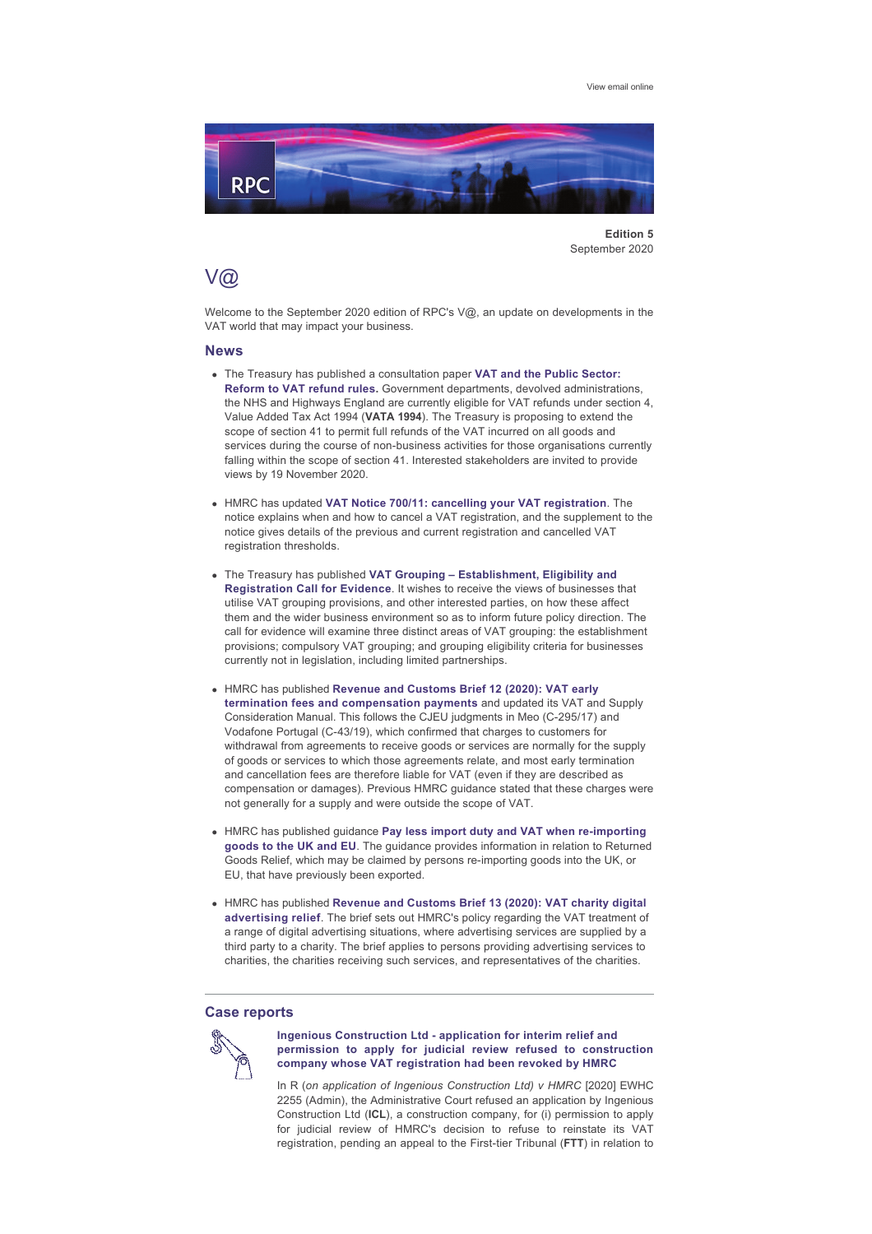

**Edition 5** September 2020

# V@

Welcome to the September 2020 edition of RPC's V@, an update on developments in the VAT world that may impact your business.

### **News**

- **.** The Treasury has published a consultation paper VAT and the Public Sector: **[Reform to VAT refund rules](https://assets.publishing.service.gov.uk/government/uploads/system/uploads/attachment_data/file/912789/20200824-_Section_41_Policy_Paper_for_publication_Aug_2020.pdf).** Government departments, devolved administrations, the NHS and Highways England are currently eligible for VAT refunds under section 4, Value Added Tax Act 1994 (**VATA 1994**). The Treasury is proposing to extend the scope of section 41 to permit full refunds of the VAT incurred on all goods and services during the course of non-business activities for those organisations currently falling within the scope of section 41. Interested stakeholders are invited to provide views by 19 November 2020.
- **.** HMRC has updated [VAT Notice 700/11: cancelling your VAT registration](https://www.gov.uk/government/publications/vat-notice-70011-cancelling-your-registration/vat-notice-70011-cancelling-your-registration). The notice explains when and how to cancel a VAT registration, and the supplement to the notice gives details of the previous and current registration and cancelled VAT registration thresholds.
- **.** The Treasury has published VAT Grouping Establishment, Eligibility and **[Registration Call for Evidence](https://assets.publishing.service.gov.uk/government/uploads/system/uploads/attachment_data/file/913002/2008268_VAT_Grouping_Call_for_evidence.pdf)**. It wishes to receive the views of businesses that utilise VAT grouping provisions, and other interested parties, on how these affect them and the wider business environment so as to inform future policy direction. The call for evidence will examine three distinct areas of VAT grouping: the establishment provisions; compulsory VAT grouping; and grouping eligibility criteria for businesses currently not in legislation, including limited partnerships.
- **.** HMRC has published Revenue and Customs Brief 12 (2020): VAT early **[termination fees and compensation payments](https://www.gov.uk/government/publications/revenue-and-customs-brief-12-2020-vat-early-termination-fees-and-compensation-payments/revenue-and-customs-brief-12-2020-vat-early-termination-fees-and-compensation-payments)** and updated its VAT and Supply Consideration Manual. This follows the CJEU judgments in Meo (C-295/17) and Vodafone Portugal (C-43/19), which confirmed that charges to customers for withdrawal from agreements to receive goods or services are normally for the supply of goods or services to which those agreements relate, and most early termination and cancellation fees are therefore liable for VAT (even if they are described as compensation or damages). Previous HMRC guidance stated that these charges were not generally for a supply and were outside the scope of VAT.
- **e** HMRC has published guidance **Pay less import duty and VAT when re-importing [goods to the UK and EU](https://www.gov.uk/guidance/pay-less-import-duty-and-vat-when-re-importing-goods-to-the-uk-and-eu)**. The guidance provides information in relation to Returned Goods Relief, which may be claimed by persons re-importing goods into the UK, or EU, that have previously been exported.
- **.** HMRC has published Revenue and Customs Brief 13 (2020): VAT charity digital **[advertising relief](https://www.gov.uk/government/publications/revenue-and-customs-brief-13-2020-vat-charity-digital-advertising-relief/revenue-and-customs-brief-13-2020-vat-charity-digital-advertising-relief)**. The brief sets out HMRC's policy regarding the VAT treatment of a range of digital advertising situations, where advertising services are supplied by a third party to a charity. The brief applies to persons providing advertising services to charities, the charities receiving such services, and representatives of the charities.

### **Case reports**



### **[Ingenious Construction Ltd application for interim relief and](https://www.bailii.org/ew/cases/EWHC/Admin/2020/2255.pdf)  [permission to apply for judicial review refused to construction](https://www.bailii.org/ew/cases/EWHC/Admin/2020/2255.pdf) [company whose VAT registration had been revoked by HMRC](https://www.bailii.org/ew/cases/EWHC/Admin/2020/2255.pdf)**

In R (*on application of Ingenious Construction Ltd*) v HMRC [2020] EWHC 2255 (Admin), the Administrative Court refused an application by Ingenious Construction Ltd (**ICL**), a construction company, for (i) permission to apply for judicial review of HMRC's decision to refuse to reinstate its VAT registration, pending an appeal to the First-tier Tribunal (FTT) in relation to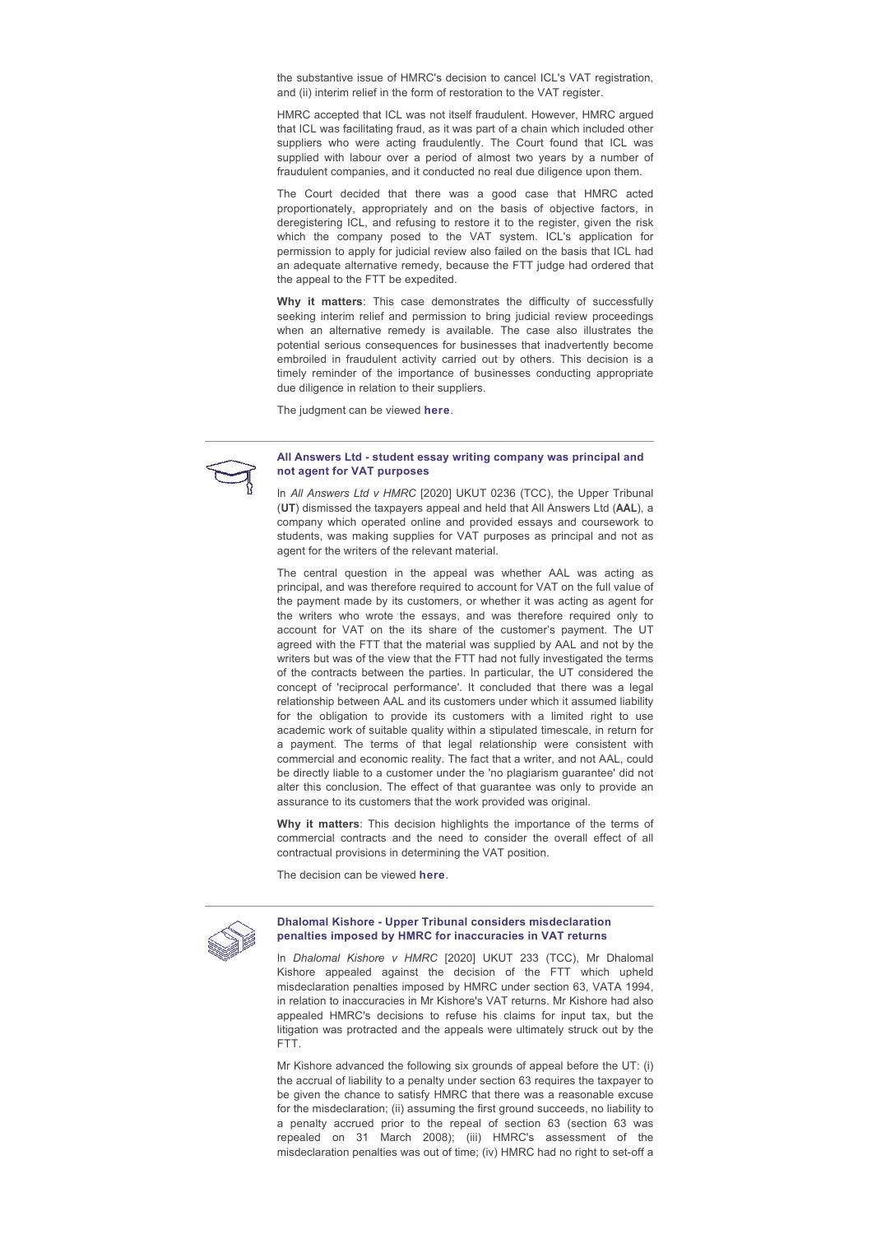the substantive issue of HMRC's decision to cancel ICL's VAT registration, and (ii) interim relief in the form of restoration to the VAT register.

HMRC accepted that ICL was not itself fraudulent. However, HMRC argued that ICL was facilitating fraud, as it was part of a chain which included other suppliers who were acting fraudulently. The Court found that ICL was supplied with labour over a period of almost two years by a number of fraudulent companies, and it conducted no real due diligence upon them.

The Court decided that there was a good case that HMRC acted proportionately, appropriately and on the basis of objective factors, in deregistering ICL, and refusing to restore it to the register, given the risk which the company posed to the VAT system. ICL's application for permission to apply for judicial review also failed on the basis that ICL had an adequate alternative remedy, because the FTT judge had ordered that the appeal to the FTT be expedited.

Why it matters: This case demonstrates the difficulty of successfully seeking interim relief and permission to bring judicial review proceedings when an alternative remedy is available. The case also illustrates the potential serious consequences for businesses that inadvertently become embroiled in fraudulent activity carried out by others. This decision is a timely reminder of the importance of businesses conducting appropriate due diligence in relation to their suppliers.

The judgment can be viewed **[here](https://www.bailii.org/ew/cases/EWHC/Admin/2020/2255.pdf)**.



#### All Answers Ltd - student essay writing company was principal and **[not agent for VAT purposes](https://assets.publishing.service.gov.uk/media/5f2293f78fa8f57ad0429050/All_Answers_v_HMRC.pdf)**

In *All Answers Ltd v HMRC* [2020] UKUT 0236 (TCC), the Upper Tribunal (**UT**) dismissed the taxpayers appeal and held that All Answers Ltd (**AAL**), a company which operated online and provided essays and coursework to students, was making supplies for VAT purposes as principal and not as agent for the writers of the relevant material.

The central question in the appeal was whether AAL was acting as principal, and was therefore required to account for VAT on the full value of the payment made by its customers, or whether it was acting as agent for the writers who wrote the essays, and was therefore required only to account for VAT on the its share of the customer's payment. The UT agreed with the FTT that the material was supplied by AAL and not by the writers but was of the view that the FTT had not fully investigated the terms of the contracts between the parties. In particular, the UT considered the concept of 'reciprocal performance'. It concluded that there was a legal relationship between AAL and its customers under which it assumed liability for the obligation to provide its customers with a limited right to use academic work of suitable quality within a stipulated timescale, in return for a payment. The terms of that legal relationship were consistent with commercial and economic reality. The fact that a writer, and not AAL, could be directly liable to a customer under the 'no plagiarism guarantee' did not alter this conclusion. The effect of that guarantee was only to provide an assurance to its customers that the work provided was original.

**Why it matters**: This decision highlights the importance of the terms of commercial contracts and the need to consider the overall effect of all contractual provisions in determining the VAT position.

The decision can be viewed **[here](https://assets.publishing.service.gov.uk/media/5f2293f78fa8f57ad0429050/All_Answers_v_HMRC.pdf)**.



## **[Dhalomal Kishore Upper Tribunal considers misdeclaration](https://assets.publishing.service.gov.uk/media/5f183ecfe90e07456aa7f414/Dhalomal_Kishore_v_HMRC.pdf)  [penalties imposed by HMRC for inaccuracies in VAT returns](https://assets.publishing.service.gov.uk/media/5f183ecfe90e07456aa7f414/Dhalomal_Kishore_v_HMRC.pdf)**

In *Dhalomal Kishore v HMRC* [2020] UKUT 233 (TCC), Mr Dhalomal Kishore appealed against the decision of the FTT which upheld misdeclaration penalties imposed by HMRC under section 63, VATA 1994, in relation to inaccuracies in Mr Kishore's VAT returns. Mr Kishore had also appealed HMRC's decisions to refuse his claims for input tax, but the litigation was protracted and the appeals were ultimately struck out by the FTT.

Mr Kishore advanced the following six grounds of appeal before the UT: (i) the accrual of liability to a penalty under section 63 requires the taxpayer to be given the chance to satisfy HMRC that there was a reasonable excuse for the misdeclaration; (ii) assuming the first ground succeeds, no liability to a penalty accrued prior to the repeal of section 63 (section 63 was repealed on 31 March 2008); (iii) HMRC's assessment of the misdeclaration penalties was out of time; (iv) HMRC had no right to set-off a